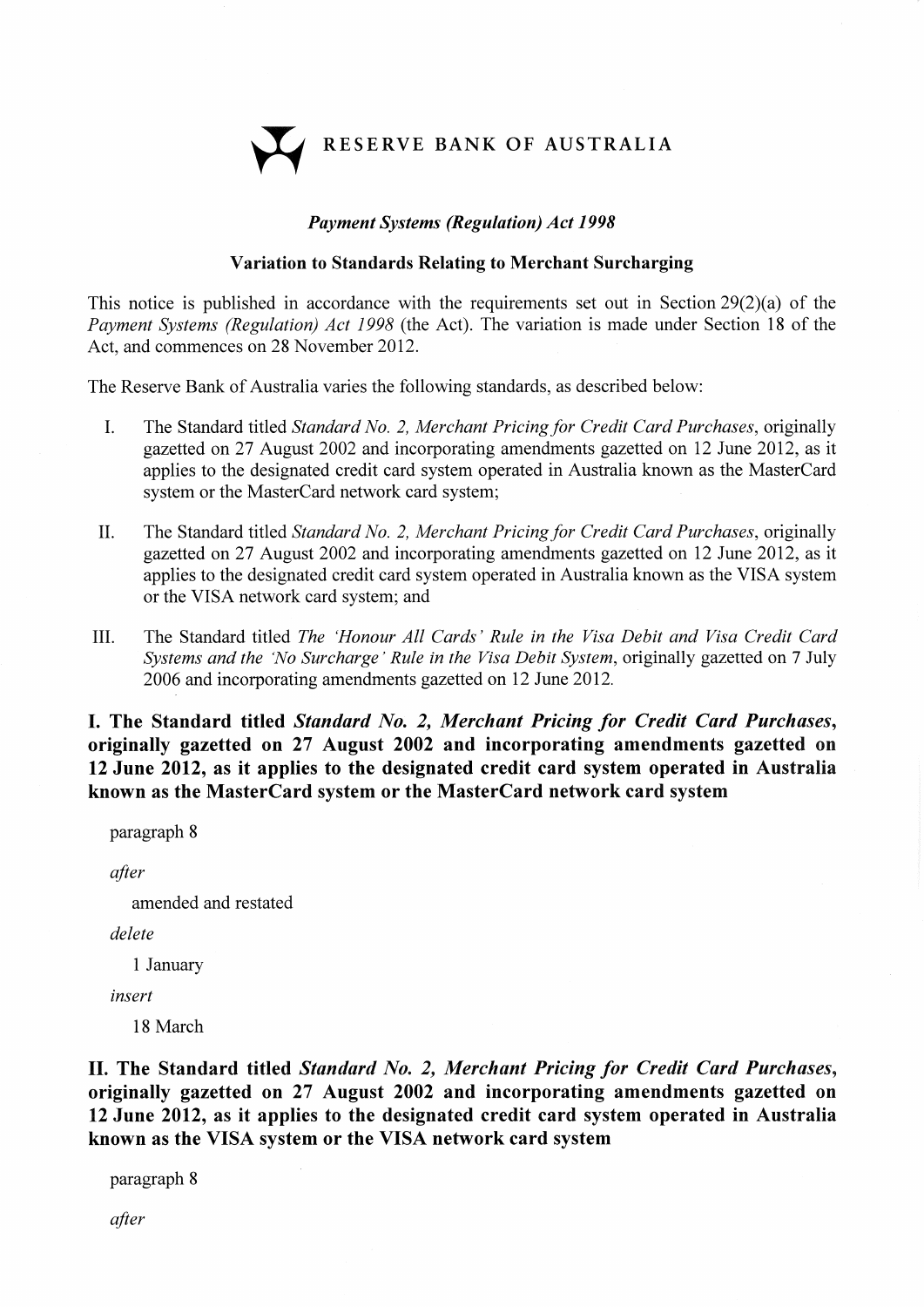RESERVE BANK OF AUSTRALIA

## Pøyment Systems (Regulation) Act <sup>1998</sup>

## Variation to Standards Relating to Merchant Surcharging

This notice is published in accordance with the requirements set out in Section 29(2)(a) of the Payment Systems (Regulation) Act 1998 (the Act). The variation is made under Section 18 of the Act, and commences on 28 November 2012.

The Reserve Bank of Australia varies the following standards, as described below:

- I. The Standard titled Standard No. 2, Merchant Pricing for Credit Card Purchases, originally gazetted on27 August 2002 and incorporating amendments gazetted on 12 June 2012, as it applies to the designated credit card system operated in Australia known as the MasterCard system or the MasterCard network card system;
- II. The Standard titled Standard No. 2, Merchant Pricing for Credit Card Purchases, originally gazetted on27 August 2002 and incorporating amendments gazetted on 12 June 2012, as it applies to the designated credit card system operated in Australia known as the VISA system or the VISA network card system; and
- III. The Standard titled The 'Honour All Cards' Rule in the Visa Debit and Visa Credit Card Systems and the 'No Surcharge' Rule in the Visa Debit System, originally gazetted on 7 July 2006 and incorporating amendments gazetted on 12 June 2012.

I. The Standard titled Standard No. 2, Merchant Pricing for Credit Card Purchases, originally gazetted on 27 August 2002 and incorporating amendments gazetted on 12 June 2012, as it applies to the designated credit card system operated in Australia known as the MasterCard system or the MasterCard network card system

paragraph <sup>8</sup>

after

amended and restated

delete

<sup>1</sup>January

insert

18 March

II. The Standard titled Standard No. 2, Merchant Pricing for Credit Card Purchases, originally gazetted on 27 August 2002 and incorporating amendments gazetted on <sup>12</sup>June 2012, as it applies to the designated credit card system operated in Australia known as the VISA system or the VISA network card system

paragraph <sup>8</sup>

after